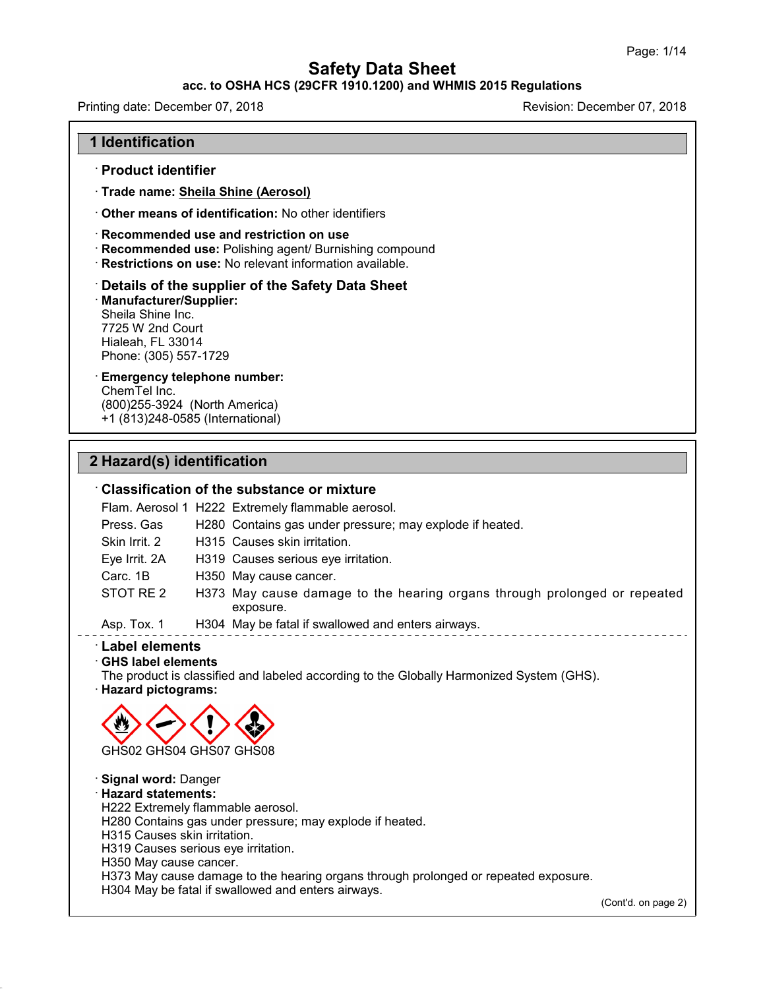### **acc. to OSHA HCS (29CFR 1910.1200) and WHMIS 2015 Regulations**

Printing date: December 07, 2018 Revision: December 07, 2018

#### **1 Identification**

· **Product identifier**

· **Trade name: Sheila Shine (Aerosol)**

· **Other means of identification:** No other identifiers

· **Recommended use and restriction on use**

- · **Recommended use:** Polishing agent/ Burnishing compound
- · **Restrictions on use:** No relevant information available.

#### · **Details of the supplier of the Safety Data Sheet**

· **Manufacturer/Supplier:** Sheila Shine Inc. 7725 W 2nd Court Hialeah, FL 33014 Phone: (305) 557-1729

## · **Emergency telephone number:**

ChemTel Inc. (800)255-3924 (North America) +1 (813)248-0585 (International)

### **2 Hazard(s) identification**

### · **Classification of the substance or mixture**

Flam. Aerosol 1 H222 Extremely flammable aerosol. Press. Gas H280 Contains gas under pressure; may explode if heated. Skin Irrit.2 H315 Causes skin irritation. Eye Irrit. 2A H319 Causes serious eye irritation. Carc. 1B H350 May cause cancer. STOT RE 2 H373 May cause damage to the hearing organs through prolonged or repeated exposure.

Asp. Tox. 1 H304 May be fatal if swallowed and enters airways.

#### · **Label elements**

48.0

· **GHS label elements**

The product is classified and labeled according to the Globally Harmonized System (GHS). · **Hazard pictograms:**



· **Signal word:** Danger · **Hazard statements:** H222 Extremely flammable aerosol. H280 Contains gas under pressure; may explode if heated. H315 Causes skin irritation. H319 Causes serious eye irritation. H350 May cause cancer. H373 May cause damage to the hearing organs through prolonged or repeated exposure. H304 May be fatal if swallowed and enters airways.

(Cont'd. on page 2)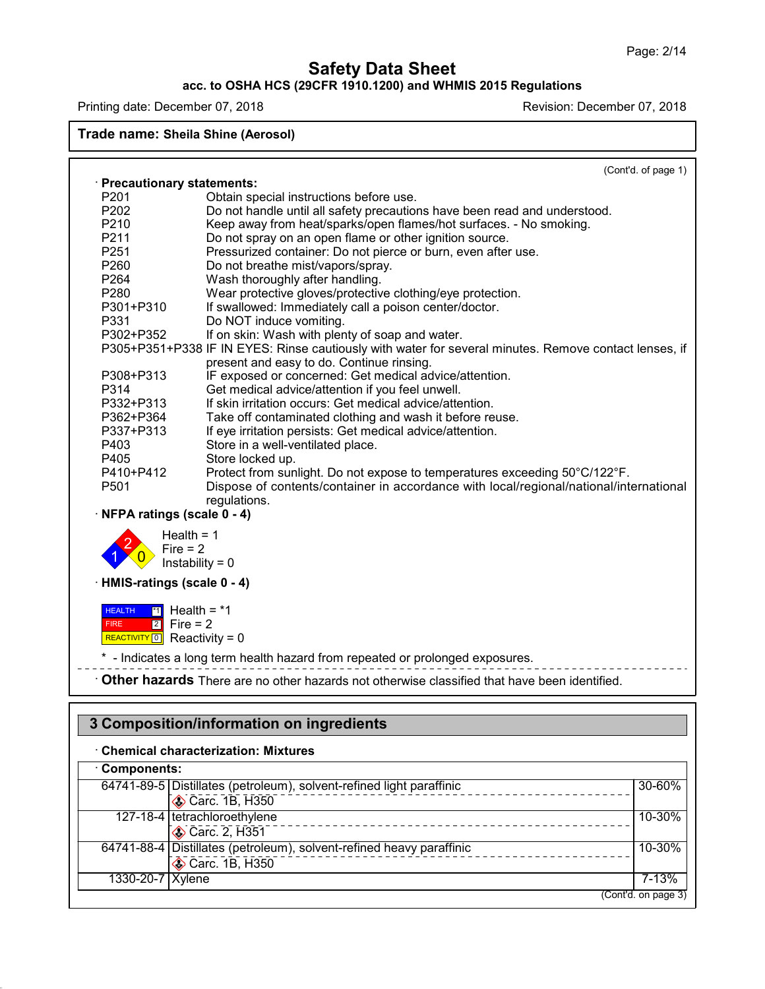### **acc. to OSHA HCS (29CFR 1910.1200) and WHMIS 2015 Regulations**

Printing date: December 07, 2018 **Printing date: December 07, 2018** Revision: December 07, 2018

48.0

### **Trade name: Sheila Shine (Aerosol)**

(Cont'd. of page 1)

(Cont'd. on page 3)

|                                                                       | · Precautionary statements:                                                                           |        |
|-----------------------------------------------------------------------|-------------------------------------------------------------------------------------------------------|--------|
| P201                                                                  | Obtain special instructions before use.                                                               |        |
| P202                                                                  | Do not handle until all safety precautions have been read and understood.                             |        |
| P210                                                                  | Keep away from heat/sparks/open flames/hot surfaces. - No smoking.                                    |        |
| P211                                                                  | Do not spray on an open flame or other ignition source.                                               |        |
| P251                                                                  | Pressurized container: Do not pierce or burn, even after use.                                         |        |
| P260                                                                  | Do not breathe mist/vapors/spray.                                                                     |        |
| P264                                                                  | Wash thoroughly after handling.                                                                       |        |
| P280                                                                  | Wear protective gloves/protective clothing/eye protection.                                            |        |
| P301+P310                                                             | If swallowed: Immediately call a poison center/doctor.                                                |        |
| P331                                                                  | Do NOT induce vomiting.                                                                               |        |
| P302+P352                                                             | If on skin: Wash with plenty of soap and water.                                                       |        |
|                                                                       | P305+P351+P338 IF IN EYES: Rinse cautiously with water for several minutes. Remove contact lenses, if |        |
|                                                                       | present and easy to do. Continue rinsing.                                                             |        |
| P308+P313                                                             | IF exposed or concerned: Get medical advice/attention.                                                |        |
| P314                                                                  | Get medical advice/attention if you feel unwell.                                                      |        |
| P332+P313                                                             | If skin irritation occurs: Get medical advice/attention.                                              |        |
| P362+P364                                                             | Take off contaminated clothing and wash it before reuse.                                              |        |
| P337+P313                                                             | If eye irritation persists: Get medical advice/attention.                                             |        |
| P403                                                                  | Store in a well-ventilated place.                                                                     |        |
| P405                                                                  | Store locked up.                                                                                      |        |
| P410+P412                                                             | Protect from sunlight. Do not expose to temperatures exceeding 50°C/122°F.                            |        |
| P501                                                                  | Dispose of contents/container in accordance with local/regional/national/international                |        |
|                                                                       | regulations.                                                                                          |        |
| · NFPA ratings (scale 0 - 4)                                          |                                                                                                       |        |
| · HMIS-ratings (scale 0 - 4)                                          | Fire $= 2$<br>Instability = $0$                                                                       |        |
|                                                                       |                                                                                                       |        |
| <b>HEALTH</b><br><b>FIRE</b><br>REACTIVITY $\boxed{0}$ Reactivity = 0 | $\boxed{1}$ Health = *1<br>$2$ Fire = 2                                                               |        |
|                                                                       | * - Indicates a long term health hazard from repeated or prolonged exposures.                         |        |
|                                                                       |                                                                                                       |        |
|                                                                       | Other hazards There are no other hazards not otherwise classified that have been identified.          |        |
|                                                                       |                                                                                                       |        |
|                                                                       | 3 Composition/information on ingredients                                                              |        |
|                                                                       | <b>Chemical characterization: Mixtures</b>                                                            |        |
| Components:                                                           |                                                                                                       |        |
|                                                                       | 64741-89-5 Distillates (petroleum), solvent-refined light paraffinic                                  | 30-60% |
|                                                                       | Carc. 1B, H350                                                                                        |        |
|                                                                       | 127-18-4 tetrachloroethylene                                                                          | 10-30% |
|                                                                       | Carc. 2, H351                                                                                         |        |
|                                                                       |                                                                                                       |        |
|                                                                       | 64741-88-4 Distillates (petroleum), solvent-refined heavy paraffinic                                  | 10-30% |
|                                                                       | Carc. 1B, H350                                                                                        |        |

1330-20-7 Xylene 7-13%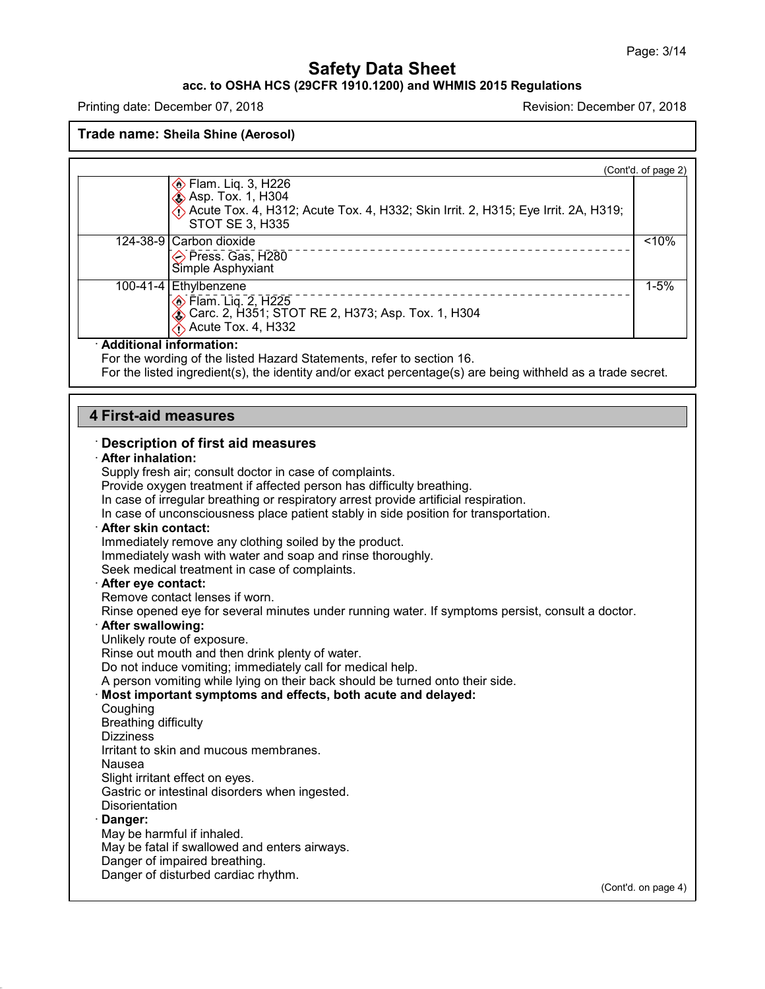### **acc. to OSHA HCS (29CFR 1910.1200) and WHMIS 2015 Regulations**

Printing date: December 07, 2018 **Printing date: December 07, 2018** 

48.0

|                                                                                                                              | (Cont'd. of page 2) |
|------------------------------------------------------------------------------------------------------------------------------|---------------------|
| <b>♦ Flam. Liq. 3, H226</b>                                                                                                  |                     |
| <b>Asp. Tox. 1, H304</b>                                                                                                     |                     |
| $\hat{\diamond}$ Acute Tox. 4, H312; Acute Tox. 4, H332; Skin Irrit. 2, H315; Eye Irrit. 2A, H319;<br><b>STOT SE 3, H335</b> |                     |
| 124-38-9 Carbon dioxide                                                                                                      | $10\%$              |
| Press. Gas, H280<br>Simple Asphyxiant                                                                                        |                     |
| 100-41-4 Ethylbenzene                                                                                                        | $1 - 5%$            |
| <b>Elam. Lig. 2, H225</b><br><b>♦ Carc. 2, H351; STOT RE 2, H373; Asp. Tox. 1, H304</b>                                      |                     |
| $\bigwedge$ Acute Tox. 4, H332                                                                                               |                     |
| · Additional information:                                                                                                    |                     |
| For the wording of the listed Hazard Statements, refer to section 16.                                                        |                     |
| For the listed ingredient(s), the identity and/or exact percentage(s) are being withheld as a trade secret.                  |                     |
|                                                                                                                              |                     |
| <b>4 First-aid measures</b>                                                                                                  |                     |
| <b>Description of first aid measures</b>                                                                                     |                     |
| · After inhalation:                                                                                                          |                     |
| Supply fresh air; consult doctor in case of complaints.                                                                      |                     |
| Provide oxygen treatment if affected person has difficulty breathing.                                                        |                     |
| In case of irregular breathing or respiratory arrest provide artificial respiration.                                         |                     |
| In case of unconsciousness place patient stably in side position for transportation.<br>· After skin contact:                |                     |
| Immediately remove any clothing soiled by the product.                                                                       |                     |
| Immediately wash with water and soap and rinse thoroughly.                                                                   |                     |
| Seek medical treatment in case of complaints.                                                                                |                     |
| After eye contact:                                                                                                           |                     |
| Remove contact lenses if worn.                                                                                               |                     |
| Rinse opened eye for several minutes under running water. If symptoms persist, consult a doctor.                             |                     |
| · After swallowing:                                                                                                          |                     |
| Unlikely route of exposure.                                                                                                  |                     |
| Rinse out mouth and then drink plenty of water.                                                                              |                     |
| Do not induce vomiting; immediately call for medical help.                                                                   |                     |
| A person vomiting while lying on their back should be turned onto their side.                                                |                     |
| Most important symptoms and effects, both acute and delayed:                                                                 |                     |
| Coughing                                                                                                                     |                     |
| <b>Breathing difficulty</b>                                                                                                  |                     |
| <b>Dizziness</b><br>Irritant to skin and mucous membranes.                                                                   |                     |
|                                                                                                                              |                     |
| Nausea<br>Slight irritant effect on eyes.                                                                                    |                     |
| Gastric or intestinal disorders when ingested.                                                                               |                     |
| <b>Disorientation</b>                                                                                                        |                     |
| · Danger:                                                                                                                    |                     |
| May be harmful if inhaled.                                                                                                   |                     |
| May be fatal if swallowed and enters airways.                                                                                |                     |
| Danger of impaired breathing.                                                                                                |                     |
| Danger of disturbed cardiac rhythm.                                                                                          |                     |
|                                                                                                                              | (Cont'd. on page 4) |
|                                                                                                                              |                     |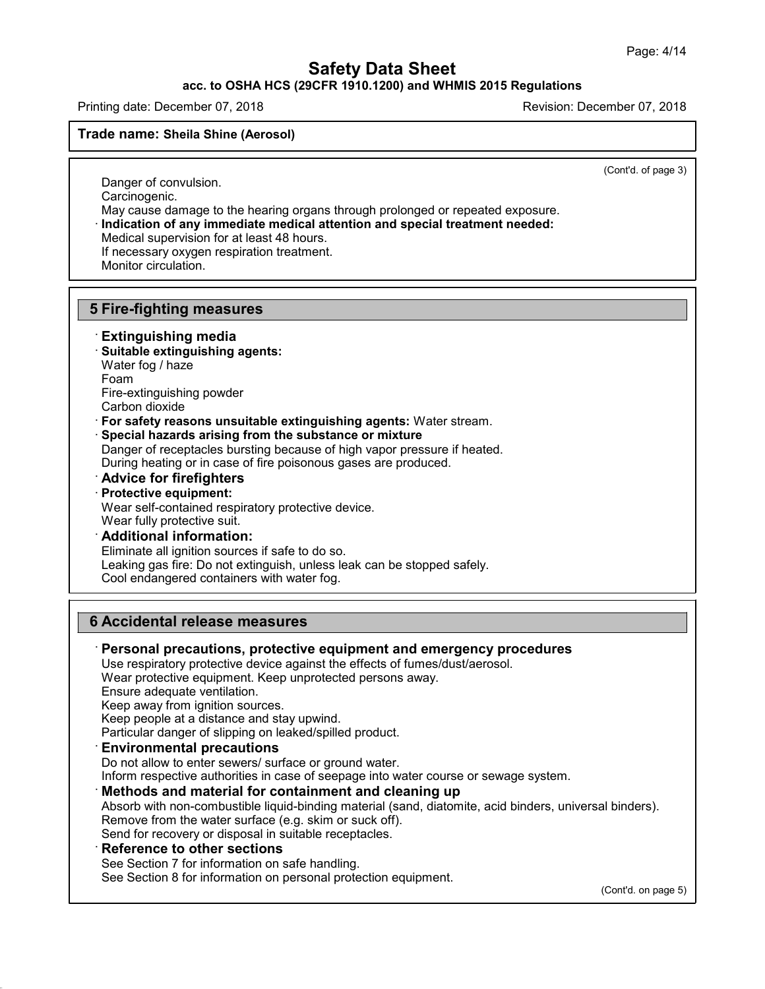**acc. to OSHA HCS (29CFR 1910.1200) and WHMIS 2015 Regulations**

Printing date: December 07, 2018 Revision: December 07, 2018

**Trade name: Sheila Shine (Aerosol)**

(Cont'd. of page 3)

Danger of convulsion. Carcinogenic.

May cause damage to the hearing organs through prolonged or repeated exposure. · **Indication of any immediate medical attention and special treatment needed:**

Medical supervision for at least 48 hours.

If necessary oxygen respiration treatment.

Monitor circulation.

### **5 Fire-fighting measures**

### · **Extinguishing media**

- · **Suitable extinguishing agents:**
- Water fog / haze
- Foam

48.0

Fire-extinguishing powder

Carbon dioxide

· **For safety reasons unsuitable extinguishing agents:** Water stream.

· **Special hazards arising from the substance or mixture**

Danger of receptacles bursting because of high vapor pressure if heated.

During heating or in case of fire poisonous gases are produced.

- · **Advice for firefighters**
- · **Protective equipment:**

Wear self-contained respiratory protective device.

Wear fully protective suit.

### · **Additional information:**

Eliminate all ignition sources if safe to do so. Leaking gas fire: Do not extinguish, unless leak can be stopped safely.

Cool endangered containers with water fog.

### **6 Accidental release measures**

· **Personal precautions, protective equipment and emergency procedures** Use respiratory protective device against the effects of fumes/dust/aerosol. Wear protective equipment. Keep unprotected persons away. Ensure adequate ventilation. Keep away from ignition sources. Keep people at a distance and stay upwind. Particular danger of slipping on leaked/spilled product. · **Environmental precautions** Do not allow to enter sewers/ surface or ground water. Inform respective authorities in case of seepage into water course or sewage system. · **Methods and material for containment and cleaning up** Absorb with non-combustible liquid-binding material (sand, diatomite, acid binders, universal binders). Remove from the water surface (e.g. skim or suck off). Send for recovery or disposal in suitable receptacles. · **Reference to other sections** See Section 7 for information on safe handling. See Section 8 for information on personal protection equipment.

(Cont'd. on page 5)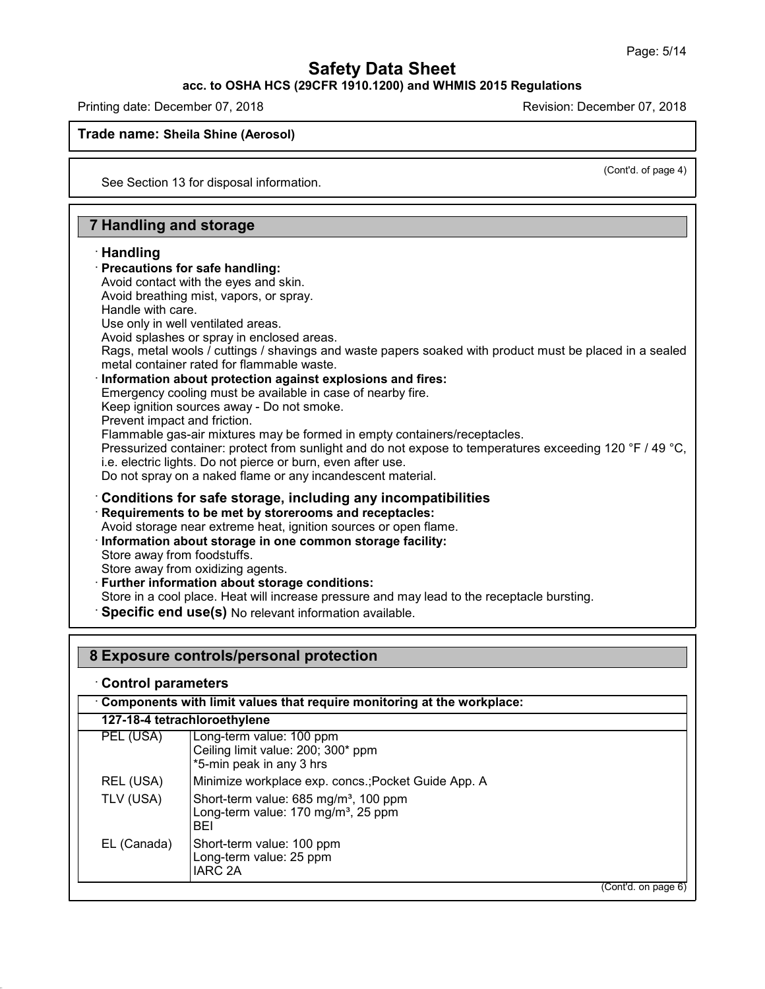### **acc. to OSHA HCS (29CFR 1910.1200) and WHMIS 2015 Regulations**

Printing date: December 07, 2018 Revision: December 07, 2018

#### **Trade name: Sheila Shine (Aerosol)**

(Cont'd. of page 4)

See Section 13 for disposal information.

### **7 Handling and storage**

### · **Handling**

- · **Precautions for safe handling:**
- Avoid contact with the eyes and skin.
- Avoid breathing mist, vapors, or spray.
- Handle with care. Use only in well ventilated areas.
- 
- Avoid splashes or spray in enclosed areas.
- Rags, metal wools / cuttings / shavings and waste papers soaked with product must be placed in a sealed metal container rated for flammable waste.
- · **Information about protection against explosions and fires:**
- Emergency cooling must be available in case of nearby fire.
- Keep ignition sources away Do not smoke.
- Prevent impact and friction.
- Flammable gas-air mixtures may be formed in empty containers/receptacles.
- Pressurized container: protect from sunlight and do not expose to temperatures exceeding 120 °F / 49 °C,
- i.e. electric lights. Do not pierce or burn, even after use.
- Do not spray on a naked flame or any incandescent material.

# · **Conditions for safe storage, including any incompatibilities**

- · **Requirements to be met by storerooms and receptacles:**
- Avoid storage near extreme heat, ignition sources or open flame.
- · **Information about storage in one common storage facility:**
- Store away from foodstuffs.
- Store away from oxidizing agents.
- · **Further information about storage conditions:**
- Store in a cool place. Heat will increase pressure and may lead to the receptacle bursting.
- · **Specific end use(s)** No relevant information available.

### **8 Exposure controls/personal protection**

### · **Control parameters**

48.0

· **Components with limit values that require monitoring at the workplace:**

|             | 127-18-4 tetrachloroethylene                                                                                       |
|-------------|--------------------------------------------------------------------------------------------------------------------|
| PEL (USA)   | Long-term value: 100 ppm<br>Ceiling limit value: 200; 300* ppm<br>*5-min peak in any 3 hrs                         |
| REL (USA)   | Minimize workplace exp. concs.; Pocket Guide App. A                                                                |
| TLV (USA)   | Short-term value: 685 mg/m <sup>3</sup> , 100 ppm<br>Long-term value: 170 mg/m <sup>3</sup> , 25 ppm<br><b>BEI</b> |
| EL (Canada) | Short-term value: 100 ppm<br>Long-term value: 25 ppm<br><b>IARC 2A</b>                                             |

(Cont'd. on page 6)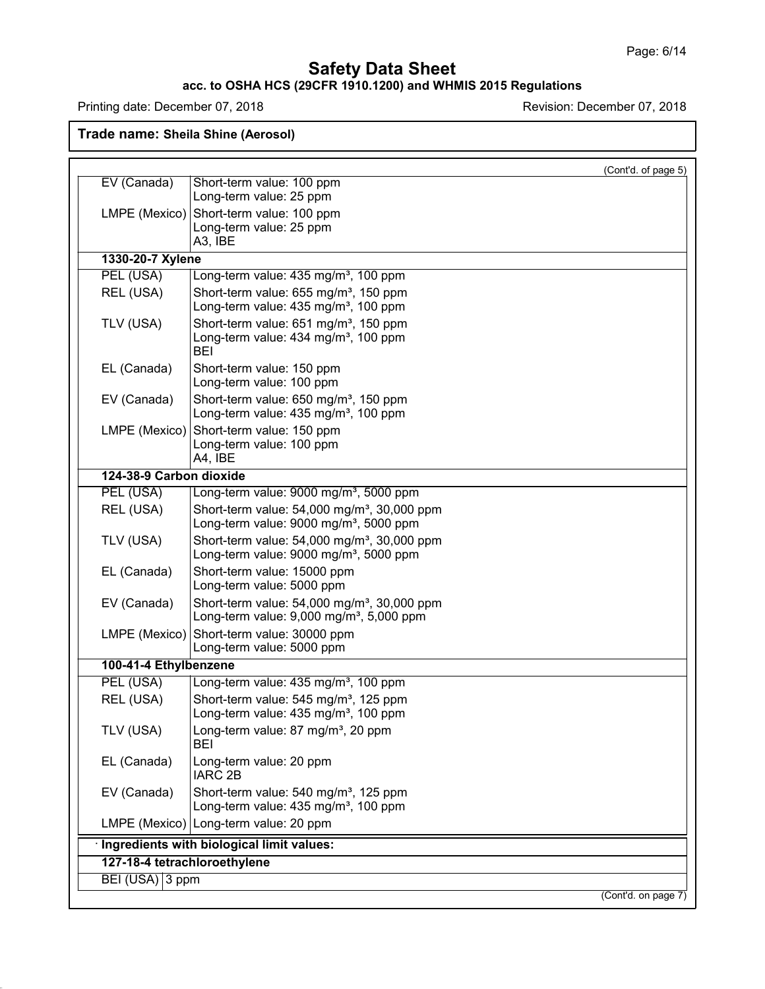#### **acc. to OSHA HCS (29CFR 1910.1200) and WHMIS 2015 Regulations**

Printing date: December 07, 2018 **Printing date: December 07, 2018** 

48.0

|                         | (Cont'd. of page 5)                                                                                   |  |
|-------------------------|-------------------------------------------------------------------------------------------------------|--|
| EV (Canada)             | Short-term value: 100 ppm<br>Long-term value: 25 ppm                                                  |  |
|                         |                                                                                                       |  |
| LMPE (Mexico)           | Short-term value: 100 ppm<br>Long-term value: 25 ppm                                                  |  |
|                         | A3, IBE                                                                                               |  |
| 1330-20-7 Xylene        |                                                                                                       |  |
| PEL (USA)               | Long-term value: 435 mg/m <sup>3</sup> , 100 ppm                                                      |  |
| REL (USA)               | Short-term value: 655 mg/m <sup>3</sup> , 150 ppm                                                     |  |
|                         | Long-term value: 435 mg/m <sup>3</sup> , 100 ppm                                                      |  |
| TLV (USA)               | Short-term value: 651 mg/m <sup>3</sup> , 150 ppm                                                     |  |
|                         | Long-term value: 434 mg/m <sup>3</sup> , 100 ppm<br>BEI                                               |  |
| EL (Canada)             | Short-term value: 150 ppm                                                                             |  |
|                         | Long-term value: 100 ppm                                                                              |  |
| EV (Canada)             | Short-term value: 650 mg/m <sup>3</sup> , 150 ppm                                                     |  |
|                         | Long-term value: 435 mg/m <sup>3</sup> , 100 ppm                                                      |  |
| LMPE (Mexico)           | Short-term value: 150 ppm                                                                             |  |
|                         | Long-term value: 100 ppm<br>A4, IBE                                                                   |  |
| 124-38-9 Carbon dioxide |                                                                                                       |  |
| PEL (USA)               | Long-term value: 9000 mg/m <sup>3</sup> , 5000 ppm                                                    |  |
| REL (USA)               | Short-term value: 54,000 mg/m <sup>3</sup> , 30,000 ppm                                               |  |
|                         | Long-term value: 9000 mg/m <sup>3</sup> , 5000 ppm                                                    |  |
| TLV (USA)               | Short-term value: 54,000 mg/m <sup>3</sup> , 30,000 ppm                                               |  |
|                         | Long-term value: 9000 mg/m <sup>3</sup> , 5000 ppm                                                    |  |
| EL (Canada)             | Short-term value: 15000 ppm                                                                           |  |
|                         | Long-term value: 5000 ppm                                                                             |  |
| EV (Canada)             | Short-term value: 54,000 mg/m <sup>3</sup> , 30,000 ppm                                               |  |
|                         | Long-term value: $9,000$ mg/m <sup>3</sup> , $5,000$ ppm                                              |  |
| LMPE (Mexico)           | Short-term value: 30000 ppm<br>Long-term value: 5000 ppm                                              |  |
| 100-41-4 Ethylbenzene   |                                                                                                       |  |
| PEL (USA)               | Long-term value: 435 mg/m <sup>3</sup> , 100 ppm                                                      |  |
| REL (USA)               | Short-term value: 545 mg/m <sup>3</sup> , 125 ppm                                                     |  |
|                         | Long-term value: 435 mg/m <sup>3</sup> , 100 ppm                                                      |  |
| TLV (USA)               | Long-term value: 87 mg/m <sup>3</sup> , 20 ppm<br>BEI                                                 |  |
| EL (Canada)             | Long-term value: 20 ppm                                                                               |  |
|                         | <b>IARC 2B</b>                                                                                        |  |
| EV (Canada)             | Short-term value: 540 mg/m <sup>3</sup> , 125 ppm<br>Long-term value: 435 mg/m <sup>3</sup> , 100 ppm |  |
|                         | LMPE (Mexico)   Long-term value: 20 ppm                                                               |  |
|                         | · Ingredients with biological limit values:                                                           |  |
|                         | 127-18-4 tetrachloroethylene                                                                          |  |
| BEI (USA) 3 ppm         |                                                                                                       |  |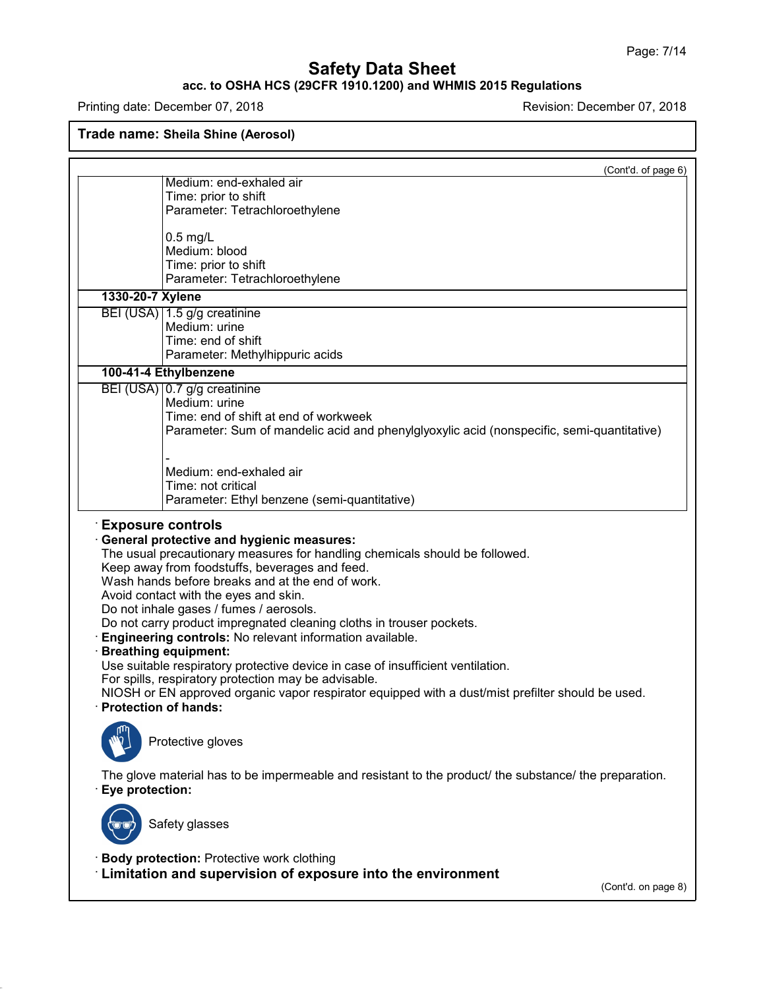### **acc. to OSHA HCS (29CFR 1910.1200) and WHMIS 2015 Regulations**

Printing date: December 07, 2018 **Printing date: December 07, 2018** 

48.0

|                        | (Cont'd. of page 6)                                                                                                                                                                                                                                                                                                                                                                                                                                                                                                                                                                                                                                                                                                                |
|------------------------|------------------------------------------------------------------------------------------------------------------------------------------------------------------------------------------------------------------------------------------------------------------------------------------------------------------------------------------------------------------------------------------------------------------------------------------------------------------------------------------------------------------------------------------------------------------------------------------------------------------------------------------------------------------------------------------------------------------------------------|
|                        | Medium: end-exhaled air                                                                                                                                                                                                                                                                                                                                                                                                                                                                                                                                                                                                                                                                                                            |
|                        | Time: prior to shift<br>Parameter: Tetrachloroethylene                                                                                                                                                                                                                                                                                                                                                                                                                                                                                                                                                                                                                                                                             |
|                        |                                                                                                                                                                                                                                                                                                                                                                                                                                                                                                                                                                                                                                                                                                                                    |
|                        | $0.5$ mg/L                                                                                                                                                                                                                                                                                                                                                                                                                                                                                                                                                                                                                                                                                                                         |
|                        | Medium: blood                                                                                                                                                                                                                                                                                                                                                                                                                                                                                                                                                                                                                                                                                                                      |
|                        | Time: prior to shift                                                                                                                                                                                                                                                                                                                                                                                                                                                                                                                                                                                                                                                                                                               |
|                        | Parameter: Tetrachloroethylene                                                                                                                                                                                                                                                                                                                                                                                                                                                                                                                                                                                                                                                                                                     |
| 1330-20-7 Xylene       |                                                                                                                                                                                                                                                                                                                                                                                                                                                                                                                                                                                                                                                                                                                                    |
|                        | BEI (USA) 1.5 g/g creatinine<br>Medium: urine                                                                                                                                                                                                                                                                                                                                                                                                                                                                                                                                                                                                                                                                                      |
|                        | Time: end of shift                                                                                                                                                                                                                                                                                                                                                                                                                                                                                                                                                                                                                                                                                                                 |
|                        | Parameter: Methylhippuric acids                                                                                                                                                                                                                                                                                                                                                                                                                                                                                                                                                                                                                                                                                                    |
|                        | 100-41-4 Ethylbenzene                                                                                                                                                                                                                                                                                                                                                                                                                                                                                                                                                                                                                                                                                                              |
|                        | BEI (USA) 0.7 g/g creatinine                                                                                                                                                                                                                                                                                                                                                                                                                                                                                                                                                                                                                                                                                                       |
|                        | Medium: urine                                                                                                                                                                                                                                                                                                                                                                                                                                                                                                                                                                                                                                                                                                                      |
|                        | Time: end of shift at end of workweek                                                                                                                                                                                                                                                                                                                                                                                                                                                                                                                                                                                                                                                                                              |
|                        | Parameter: Sum of mandelic acid and phenylglyoxylic acid (nonspecific, semi-quantitative)                                                                                                                                                                                                                                                                                                                                                                                                                                                                                                                                                                                                                                          |
|                        |                                                                                                                                                                                                                                                                                                                                                                                                                                                                                                                                                                                                                                                                                                                                    |
|                        | Medium: end-exhaled air                                                                                                                                                                                                                                                                                                                                                                                                                                                                                                                                                                                                                                                                                                            |
|                        | Time: not critical                                                                                                                                                                                                                                                                                                                                                                                                                                                                                                                                                                                                                                                                                                                 |
|                        | Parameter: Ethyl benzene (semi-quantitative)                                                                                                                                                                                                                                                                                                                                                                                                                                                                                                                                                                                                                                                                                       |
| · Protection of hands: | · General protective and hygienic measures:<br>The usual precautionary measures for handling chemicals should be followed.<br>Keep away from foodstuffs, beverages and feed.<br>Wash hands before breaks and at the end of work.<br>Avoid contact with the eyes and skin.<br>Do not inhale gases / fumes / aerosols.<br>Do not carry product impregnated cleaning cloths in trouser pockets.<br>Engineering controls: No relevant information available.<br>· Breathing equipment:<br>Use suitable respiratory protective device in case of insufficient ventilation.<br>For spills, respiratory protection may be advisable.<br>NIOSH or EN approved organic vapor respirator equipped with a dust/mist prefilter should be used. |
|                        | Protective gloves                                                                                                                                                                                                                                                                                                                                                                                                                                                                                                                                                                                                                                                                                                                  |
| · Eye protection:      | The glove material has to be impermeable and resistant to the product/ the substance/ the preparation.                                                                                                                                                                                                                                                                                                                                                                                                                                                                                                                                                                                                                             |
|                        | Safety glasses                                                                                                                                                                                                                                                                                                                                                                                                                                                                                                                                                                                                                                                                                                                     |
|                        | · Body protection: Protective work clothing                                                                                                                                                                                                                                                                                                                                                                                                                                                                                                                                                                                                                                                                                        |
|                        | Limitation and supervision of exposure into the environment                                                                                                                                                                                                                                                                                                                                                                                                                                                                                                                                                                                                                                                                        |
|                        | (Cont'd. on page 8)                                                                                                                                                                                                                                                                                                                                                                                                                                                                                                                                                                                                                                                                                                                |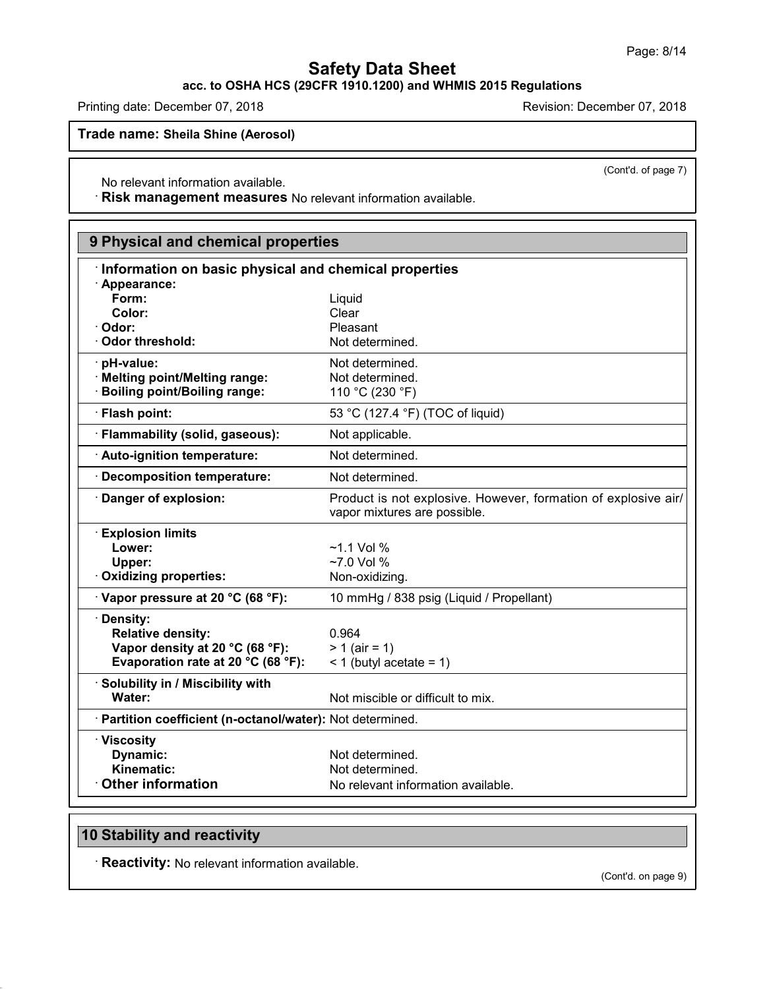(Cont'd. of page 7)

## **Safety Data Sheet**

**acc. to OSHA HCS (29CFR 1910.1200) and WHMIS 2015 Regulations**

Printing date: December 07, 2018 **Principal and Principal According Contracts** Revision: December 07, 2018

**Trade name: Sheila Shine (Aerosol)**

No relevant information available.

· **Risk management measures** No relevant information available.

| 9 Physical and chemical properties                         |                                                                                                |
|------------------------------------------------------------|------------------------------------------------------------------------------------------------|
| Information on basic physical and chemical properties      |                                                                                                |
| · Appearance:                                              |                                                                                                |
| Form:                                                      | Liquid                                                                                         |
| Color:                                                     | Clear                                                                                          |
| Odor:                                                      | Pleasant                                                                                       |
| <b>Odor threshold:</b>                                     | Not determined.                                                                                |
| · pH-value:                                                | Not determined.                                                                                |
| · Melting point/Melting range:                             | Not determined.                                                                                |
| <b>Boiling point/Boiling range:</b>                        | 110 °C (230 °F)                                                                                |
| · Flash point:                                             | 53 °C (127.4 °F) (TOC of liquid)                                                               |
| · Flammability (solid, gaseous):                           | Not applicable.                                                                                |
| · Auto-ignition temperature:                               | Not determined.                                                                                |
| <b>Decomposition temperature:</b>                          | Not determined.                                                                                |
| Danger of explosion:                                       | Product is not explosive. However, formation of explosive air/<br>vapor mixtures are possible. |
| <b>Explosion limits</b>                                    |                                                                                                |
| Lower:                                                     | $~1.1$ Vol %                                                                                   |
| Upper:                                                     | $~27.0$ Vol %                                                                                  |
| · Oxidizing properties:                                    | Non-oxidizing.                                                                                 |
| · Vapor pressure at 20 °C (68 °F):                         | 10 mmHg / 838 psig (Liquid / Propellant)                                                       |
| · Density:                                                 |                                                                                                |
| <b>Relative density:</b>                                   | 0.964                                                                                          |
| Vapor density at 20 °C (68 °F):                            | $> 1$ (air = 1)                                                                                |
| Evaporation rate at 20 °C (68 °F):                         | $<$ 1 (butyl acetate = 1)                                                                      |
| · Solubility in / Miscibility with                         |                                                                                                |
| Water:                                                     | Not miscible or difficult to mix.                                                              |
| · Partition coefficient (n-octanol/water): Not determined. |                                                                                                |
| · Viscosity                                                |                                                                                                |
| Dynamic:                                                   | Not determined.                                                                                |
| Kinematic:                                                 | Not determined.                                                                                |
| <b>Other information</b>                                   | No relevant information available.                                                             |

## **10 Stability and reactivity**

48.0

· **Reactivity:** No relevant information available.

(Cont'd. on page 9)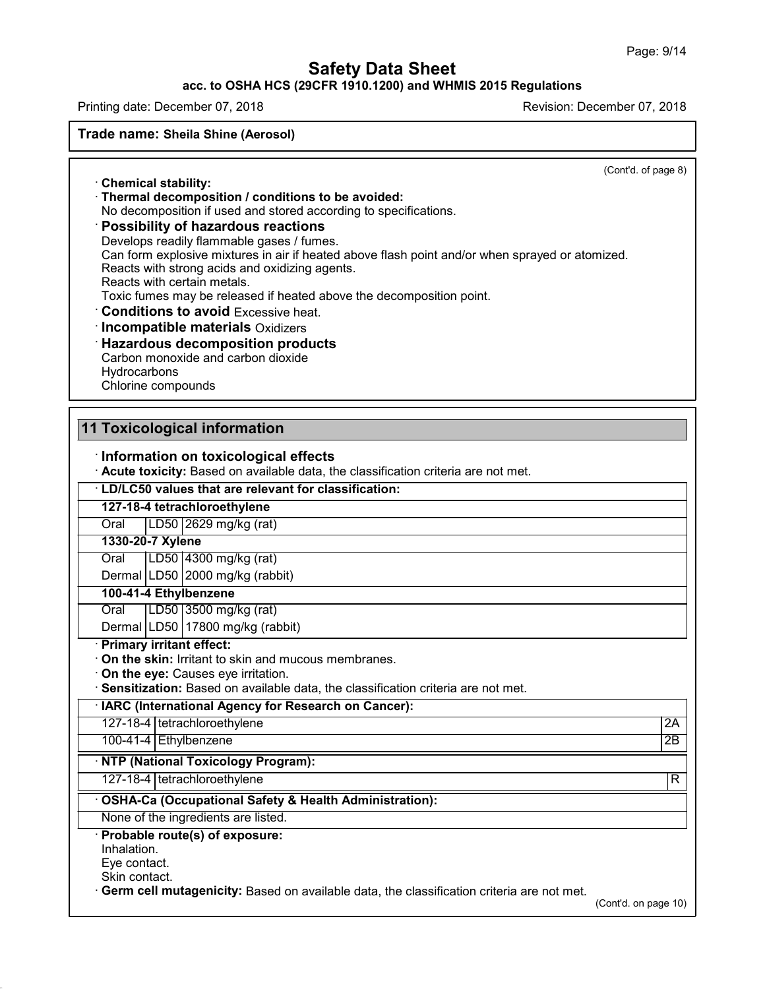### **acc. to OSHA HCS (29CFR 1910.1200) and WHMIS 2015 Regulations**

Printing date: December 07, 2018 Revision: December 07, 2018

**Trade name: Sheila Shine (Aerosol)**

(Cont'd. of page 8)

· **Chemical stability:** · **Thermal decomposition / conditions to be avoided:**

No decomposition if used and stored according to specifications.

### · **Possibility of hazardous reactions**

Develops readily flammable gases / fumes. Can form explosive mixtures in air if heated above flash point and/or when sprayed or atomized. Reacts with strong acids and oxidizing agents. Reacts with certain metals. Toxic fumes may be released if heated above the decomposition point. · **Conditions to avoid** Excessive heat. · **Incompatible materials** Oxidizers · **Hazardous decomposition products**

Carbon monoxide and carbon dioxide **Hydrocarbons** 

Chlorine compounds

# **11 Toxicological information**

· **Information on toxicological effects**

· **Acute toxicity:** Based on available data, the classification criteria are not met.

· **LD/LC50 values that are relevant for classification:**

### **127-18-4 tetrachloroethylene**

Oral LD50 2629 mg/kg (rat)

#### **1330-20-7 Xylene**

Oral LD50 4300 mg/kg (rat)

Dermal LD50 2000 mg/kg (rabbit)

### **100-41-4 Ethylbenzene**

Oral LD50 3500 mg/kg (rat)

Dermal LD50 17800 mg/kg (rabbit)

#### · **Primary irritant effect:**

· **On the skin:** Irritant to skin and mucous membranes.

· **On the eye:** Causes eye irritation.

· **Sensitization:** Based on available data, the classification criteria are not met.

· **IARC (International Agency for Research on Cancer):**

127-18-4 tetrachloroethylene 2A

100-41-4 Ethylbenzene 2B

### · **NTP (National Toxicology Program):**

127-18-4 tetrachloroethylene R

### · **OSHA-Ca (Occupational Safety & Health Administration):**

None of the ingredients are listed.

#### · **Probable route(s) of exposure:**

Inhalation.

Eye contact.

Skin contact.

48.0

· **Germ cell mutagenicity:** Based on available data, the classification criteria are not met.

(Cont'd. on page 10)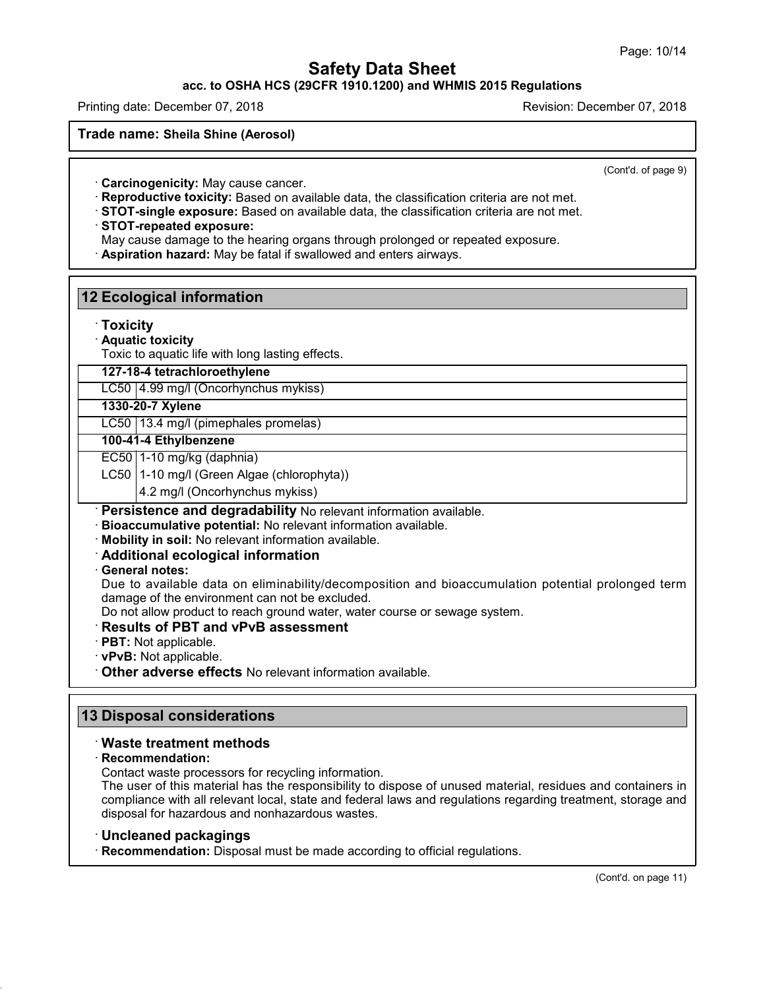**acc. to OSHA HCS (29CFR 1910.1200) and WHMIS 2015 Regulations**

Printing date: December 07, 2018 Revision: December 07, 2018

**Trade name: Sheila Shine (Aerosol)**

(Cont'd. of page 9)

· **Carcinogenicity:** May cause cancer.

· **Reproductive toxicity:** Based on available data, the classification criteria are not met.

· **STOT-single exposure:** Based on available data, the classification criteria are not met.

· **STOT-repeated exposure:**

**12 Ecological information**

May cause damage to the hearing organs through prolonged or repeated exposure.

· **Aspiration hazard:** May be fatal if swallowed and enters airways.

| $\cdot$ Toxicity |                                                                                                   |
|------------------|---------------------------------------------------------------------------------------------------|
|                  | · Aquatic toxicity                                                                                |
|                  | Toxic to aquatic life with long lasting effects.                                                  |
|                  | 127-18-4 tetrachloroethylene                                                                      |
|                  | LC50   4.99 mg/l (Oncorhynchus mykiss)                                                            |
|                  | 1330-20-7 Xylene                                                                                  |
|                  | LC50   13.4 mg/l (pimephales promelas)                                                            |
|                  | 100-41-4 Ethylbenzene                                                                             |
|                  | $EC50$   1-10 mg/kg (daphnia)                                                                     |
|                  | LC50   1-10 mg/l (Green Algae (chlorophyta))                                                      |
|                  | 4.2 mg/l (Oncorhynchus mykiss)                                                                    |
|                  | · Persistence and degradability No relevant information available.                                |
|                  | · Bioaccumulative potential: No relevant information available.                                   |
|                  | · Mobility in soil: No relevant information available.                                            |
|                  | Additional ecological information                                                                 |
| · General notes: |                                                                                                   |
|                  | Due to available data on eliminability/decomposition and bioaccumulation potential prolonged term |
|                  | damage of the environment can not be excluded.                                                    |
|                  | Do not allow product to reach ground water, water course or sewage system.                        |
|                  | <b>Results of PBT and vPvB assessment</b>                                                         |
|                  | $\cdot$ PBT: Not applicable.                                                                      |
|                  | · vPvB: Not applicable.                                                                           |

· **Other adverse effects** No relevant information available.

### **13 Disposal considerations**

#### · **Waste treatment methods**

· **Recommendation:**

48.0

Contact waste processors for recycling information.

The user of this material has the responsibility to dispose of unused material, residues and containers in compliance with all relevant local, state and federal laws and regulations regarding treatment, storage and disposal for hazardous and nonhazardous wastes.

#### · **Uncleaned packagings**

· **Recommendation:** Disposal must be made according to official regulations.

(Cont'd. on page 11)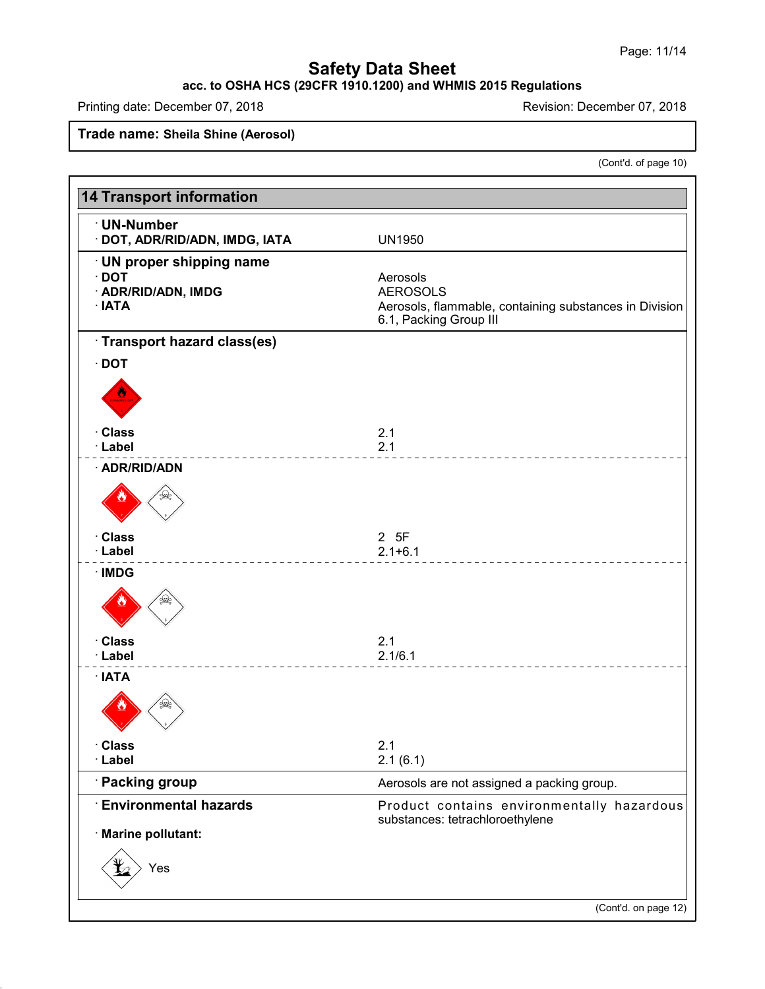#### **acc. to OSHA HCS (29CFR 1910.1200) and WHMIS 2015 Regulations**

Printing date: December 07, 2018 **Printing date: December 07, 2018** 

48.0

**Trade name: Sheila Shine (Aerosol)**

(Cont'd. of page 10)

| · UN-Number<br>· DOT, ADR/RID/ADN, IMDG, IATA | <b>UN1950</b>                                                                 |
|-----------------------------------------------|-------------------------------------------------------------------------------|
| · UN proper shipping name                     |                                                                               |
| $\cdot$ DOT                                   | Aerosols                                                                      |
| · ADR/RID/ADN, IMDG<br>· IATA                 | <b>AEROSOLS</b><br>Aerosols, flammable, containing substances in Division     |
|                                               | 6.1, Packing Group III                                                        |
| Transport hazard class(es)                    |                                                                               |
| $\cdot$ DOT                                   |                                                                               |
|                                               |                                                                               |
| · Class                                       | 2.1                                                                           |
| · Label                                       | 2.1                                                                           |
| · ADR/RID/ADN                                 |                                                                               |
|                                               |                                                                               |
| · Class                                       | 2 5F                                                                          |
| · Label                                       | $2.1 + 6.1$                                                                   |
| $\cdot$ IMDG                                  |                                                                               |
| · Class                                       | 2.1                                                                           |
| · Label                                       | 2.1/6.1                                                                       |
| $\cdot$ IATA                                  |                                                                               |
| · Class                                       | 2.1                                                                           |
| · Label                                       | 2.1(6.1)                                                                      |
| · Packing group                               | Aerosols are not assigned a packing group.                                    |
| <b>Environmental hazards</b>                  | Product contains environmentally hazardous<br>substances: tetrachloroethylene |
| · Marine pollutant:                           |                                                                               |
| Yes                                           |                                                                               |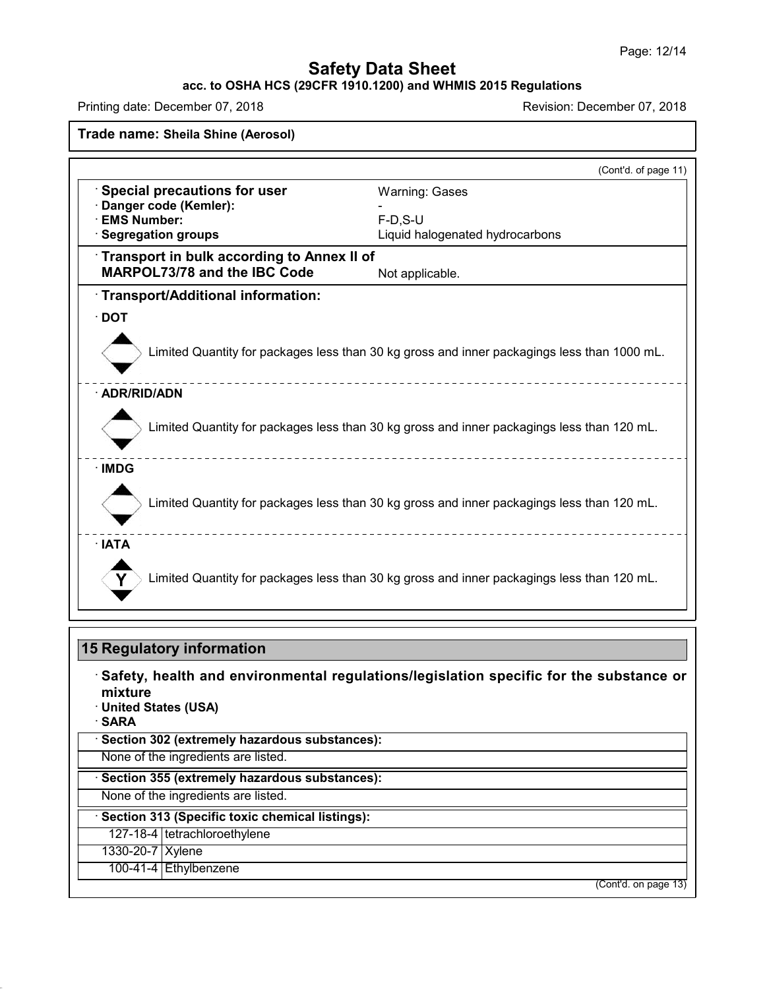#### **acc. to OSHA HCS (29CFR 1910.1200) and WHMIS 2015 Regulations**

Printing date: December 07, 2018 **Printing date: December 07, 2018** 

48.0

| Special precautions for user<br>Danger code (Kemler):<br>· EMS Number:<br>· Segregation groups | <b>Warning: Gases</b>                                                                       |
|------------------------------------------------------------------------------------------------|---------------------------------------------------------------------------------------------|
|                                                                                                |                                                                                             |
|                                                                                                | $F-D.S-U$                                                                                   |
|                                                                                                | Liquid halogenated hydrocarbons                                                             |
| Transport in bulk according to Annex II of                                                     |                                                                                             |
| <b>MARPOL73/78 and the IBC Code</b>                                                            | Not applicable.                                                                             |
| · Transport/Additional information:                                                            |                                                                                             |
| $\cdot$ DOT                                                                                    |                                                                                             |
|                                                                                                | Limited Quantity for packages less than 30 kg gross and inner packagings less than 1000 mL. |
| · ADR/RID/ADN                                                                                  |                                                                                             |
|                                                                                                | Limited Quantity for packages less than 30 kg gross and inner packagings less than 120 mL.  |
| · IMDG                                                                                         |                                                                                             |
|                                                                                                | Limited Quantity for packages less than 30 kg gross and inner packagings less than 120 mL.  |
| · IATA                                                                                         |                                                                                             |
|                                                                                                | Limited Quantity for packages less than 30 kg gross and inner packagings less than 120 mL.  |

|                                            | 15 Regulatory information                                                              |
|--------------------------------------------|----------------------------------------------------------------------------------------|
| mixture<br>· United States (USA)<br>· SARA | Safety, health and environmental regulations/legislation specific for the substance or |
|                                            | Section 302 (extremely hazardous substances):                                          |
|                                            | None of the ingredients are listed.                                                    |
|                                            | Section 355 (extremely hazardous substances):                                          |
|                                            | None of the ingredients are listed.                                                    |
|                                            | Section 313 (Specific toxic chemical listings):                                        |
|                                            | 127-18-4   tetrachloroethylene                                                         |
| 1330-20-7   Xylene                         |                                                                                        |
|                                            | 100-41-4 Ethylbenzene                                                                  |
|                                            | (Cont'd. on page 13)                                                                   |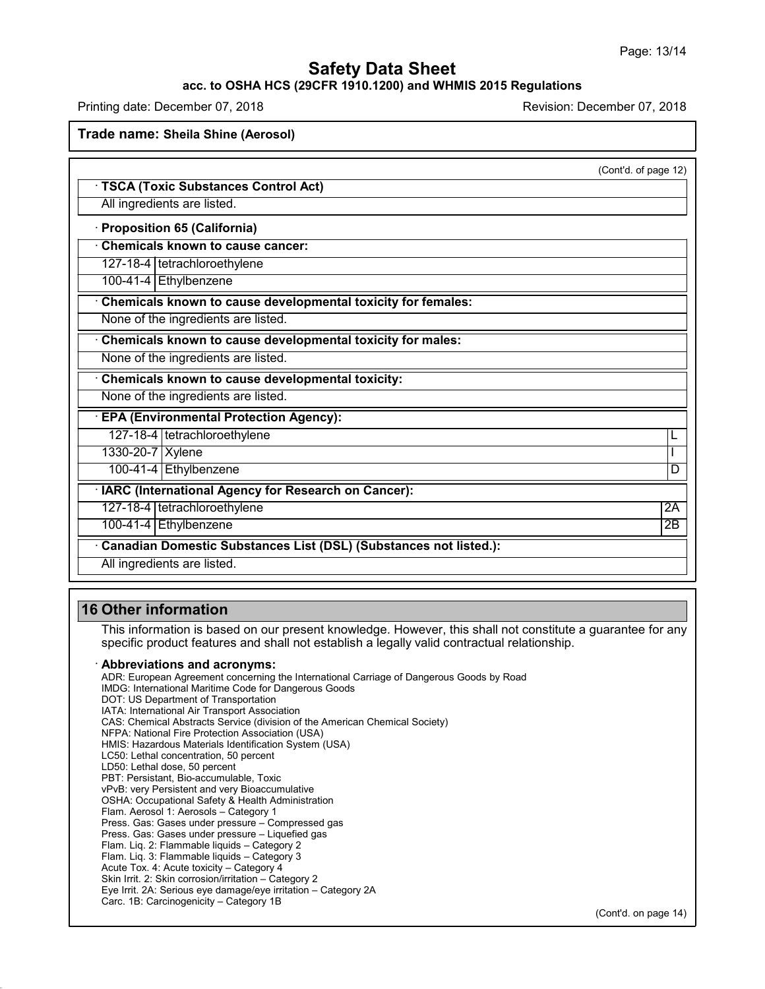### **acc. to OSHA HCS (29CFR 1910.1200) and WHMIS 2015 Regulations**

Printing date: December 07, 2018 Revision: December 07, 2018

**Trade name: Sheila Shine (Aerosol)**

| <b>TSCA (Toxic Substances Control Act)</b>                   | (Cont'd. of page 12) |
|--------------------------------------------------------------|----------------------|
| All ingredients are listed.                                  |                      |
| · Proposition 65 (California)                                |                      |
| <b>Chemicals known to cause cancer:</b>                      |                      |
| 127-18-4   tetrachloroethylene                               |                      |
| 100-41-4 Ethylbenzene                                        |                      |
| Chemicals known to cause developmental toxicity for females: |                      |
| None of the ingredients are listed.                          |                      |
| Chemicals known to cause developmental toxicity for males:   |                      |
| None of the ingredients are listed.                          |                      |
| Chemicals known to cause developmental toxicity:             |                      |
| None of the ingredients are listed.                          |                      |
| <b>EPA (Environmental Protection Agency):</b>                |                      |
| 127-18-4   tetrachloroethylene                               |                      |
| 1330-20-7 Xylene                                             |                      |
| 100-41-4 Ethylbenzene                                        | D                    |
| · IARC (International Agency for Research on Cancer):        |                      |
| 127-18-4   tetrachloroethylene                               | 2A                   |
| 100-41-4 Ethylbenzene                                        | $\overline{2B}$      |

## **16 Other information**

48.0

This information is based on our present knowledge. However, this shall not constitute a guarantee for any specific product features and shall not establish a legally valid contractual relationship.

#### · **Abbreviations and acronyms:**

ADR: European Agreement concerning the International Carriage of Dangerous Goods by Road IMDG: International Maritime Code for Dangerous Goods DOT: US Department of Transportation IATA: International Air Transport Association CAS: Chemical Abstracts Service (division of the American Chemical Society) NFPA: National Fire Protection Association (USA) HMIS: Hazardous Materials Identification System (USA) LC50: Lethal concentration, 50 percent LD50: Lethal dose, 50 percent PBT: Persistant, Bio-accumulable, Toxic vPvB: very Persistent and very Bioaccumulative OSHA: Occupational Safety & Health Administration Flam. Aerosol 1: Aerosols – Category 1 Press. Gas: Gases under pressure – Compressed gas Press. Gas: Gases under pressure – Liquefied gas Flam. Liq. 2: Flammable liquids – Category 2 Flam. Liq. 3: Flammable liquids – Category 3 Acute Tox. 4: Acute toxicity – Category 4 Skin Irrit. 2: Skin corrosion/irritation – Category 2 Eye Irrit.2A: Serious eye damage/eye irritation – Category 2A Carc. 1B: Carcinogenicity – Category 1B

(Cont'd. on page 14)